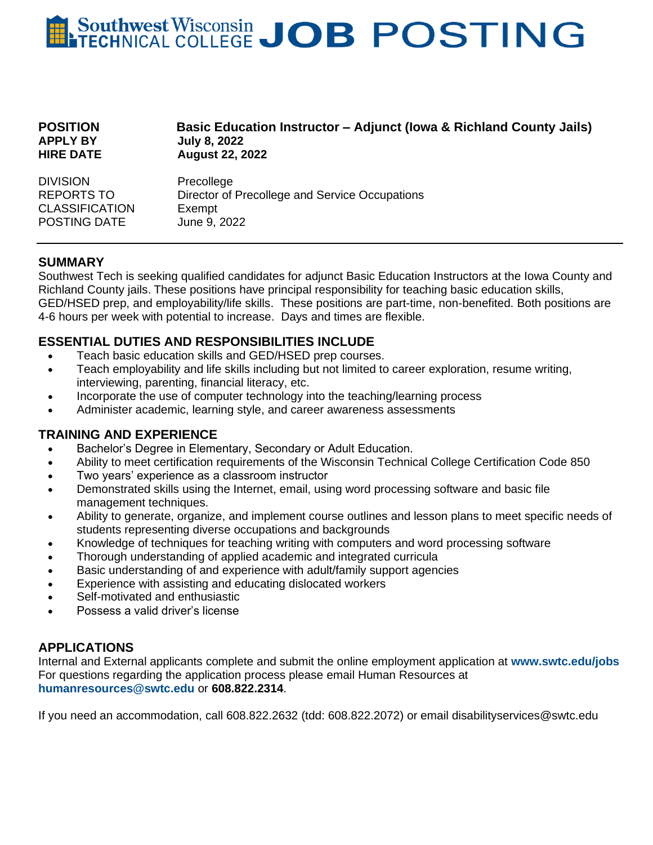# Southwest Wisconsin JOB POSTING

| <b>POSITION</b><br><b>APPLY BY</b><br><b>HIRE DATE</b> | <b>Basic Education Instructor – Adjunct (Iowa &amp; Richland County Jails)</b><br><b>July 8, 2022</b><br><b>August 22, 2022</b> |
|--------------------------------------------------------|---------------------------------------------------------------------------------------------------------------------------------|
| <b>DIVISION</b>                                        | Precollege                                                                                                                      |
| REPORTS TO                                             | Director of Precollege and Service Occupations                                                                                  |
| <b>CLASSIFICATION</b>                                  | Exempt                                                                                                                          |
| POSTING DATE                                           | June 9, 2022                                                                                                                    |

## **SUMMARY**

Southwest Tech is seeking qualified candidates for adjunct Basic Education Instructors at the Iowa County and Richland County jails. These positions have principal responsibility for teaching basic education skills, GED/HSED prep, and employability/life skills. These positions are part-time, non-benefited. Both positions are 4-6 hours per week with potential to increase. Days and times are flexible.

### **ESSENTIAL DUTIES AND RESPONSIBILITIES INCLUDE**

- Teach basic education skills and GED/HSED prep courses.
- Teach employability and life skills including but not limited to career exploration, resume writing, interviewing, parenting, financial literacy, etc.
- Incorporate the use of computer technology into the teaching/learning process
- Administer academic, learning style, and career awareness assessments

#### **TRAINING AND EXPERIENCE**

- Bachelor's Degree in Elementary, Secondary or Adult Education.
- Ability to meet certification requirements of the Wisconsin Technical College Certification Code 850
- Two years' experience as a classroom instructor
- Demonstrated skills using the Internet, email, using word processing software and basic file management techniques.
- Ability to generate, organize, and implement course outlines and lesson plans to meet specific needs of students representing diverse occupations and backgrounds
- Knowledge of techniques for teaching writing with computers and word processing software
- Thorough understanding of applied academic and integrated curricula
- Basic understanding of and experience with adult/family support agencies
- Experience with assisting and educating dislocated workers
- Self-motivated and enthusiastic
- Possess a valid driver's license

## **APPLICATIONS**

Internal and External applicants complete and submit the online employment application at **www.swtc.edu/jobs** For questions regarding the application process please email Human Resources at **[humanresources@swtc.edu](mailto:humanresources@swtc.edu)** or **608.822.2314**.

If you need an accommodation, call 608.822.2632 (tdd: 608.822.2072) or email disabilityservices@swtc.edu